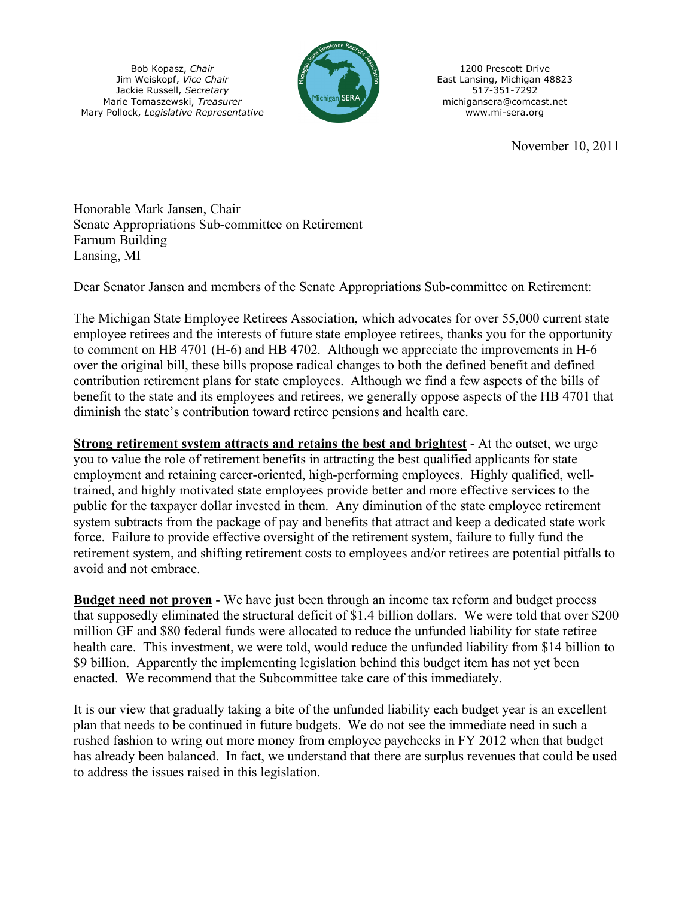Bob Kopasz, *Chair* Jim Weiskopf, *Vice Chair* Jackie Russell, *Secretary* Marie Tomaszewski, *Treasurer* Mary Pollock, *Legislative Representative*



1200 Prescott Drive East Lansing, Michigan 48823 517-351-7292 michigansera@comcast.net www.mi-sera.org

November 10, 2011

Honorable Mark Jansen, Chair Senate Appropriations Sub-committee on Retirement Farnum Building Lansing, MI

Dear Senator Jansen and members of the Senate Appropriations Sub-committee on Retirement:

The Michigan State Employee Retirees Association, which advocates for over 55,000 current state employee retirees and the interests of future state employee retirees, thanks you for the opportunity to comment on HB 4701 (H-6) and HB 4702. Although we appreciate the improvements in H-6 over the original bill, these bills propose radical changes to both the defined benefit and defined contribution retirement plans for state employees. Although we find a few aspects of the bills of benefit to the state and its employees and retirees, we generally oppose aspects of the HB 4701 that diminish the state's contribution toward retiree pensions and health care.

**Strong retirement system attracts and retains the best and brightest** - At the outset, we urge you to value the role of retirement benefits in attracting the best qualified applicants for state employment and retaining career-oriented, high-performing employees. Highly qualified, welltrained, and highly motivated state employees provide better and more effective services to the public for the taxpayer dollar invested in them. Any diminution of the state employee retirement system subtracts from the package of pay and benefits that attract and keep a dedicated state work force. Failure to provide effective oversight of the retirement system, failure to fully fund the retirement system, and shifting retirement costs to employees and/or retirees are potential pitfalls to avoid and not embrace.

**Budget need not proven** - We have just been through an income tax reform and budget process that supposedly eliminated the structural deficit of \$1.4 billion dollars. We were told that over \$200 million GF and \$80 federal funds were allocated to reduce the unfunded liability for state retiree health care. This investment, we were told, would reduce the unfunded liability from \$14 billion to \$9 billion. Apparently the implementing legislation behind this budget item has not yet been enacted. We recommend that the Subcommittee take care of this immediately.

It is our view that gradually taking a bite of the unfunded liability each budget year is an excellent plan that needs to be continued in future budgets. We do not see the immediate need in such a rushed fashion to wring out more money from employee paychecks in FY 2012 when that budget has already been balanced. In fact, we understand that there are surplus revenues that could be used to address the issues raised in this legislation.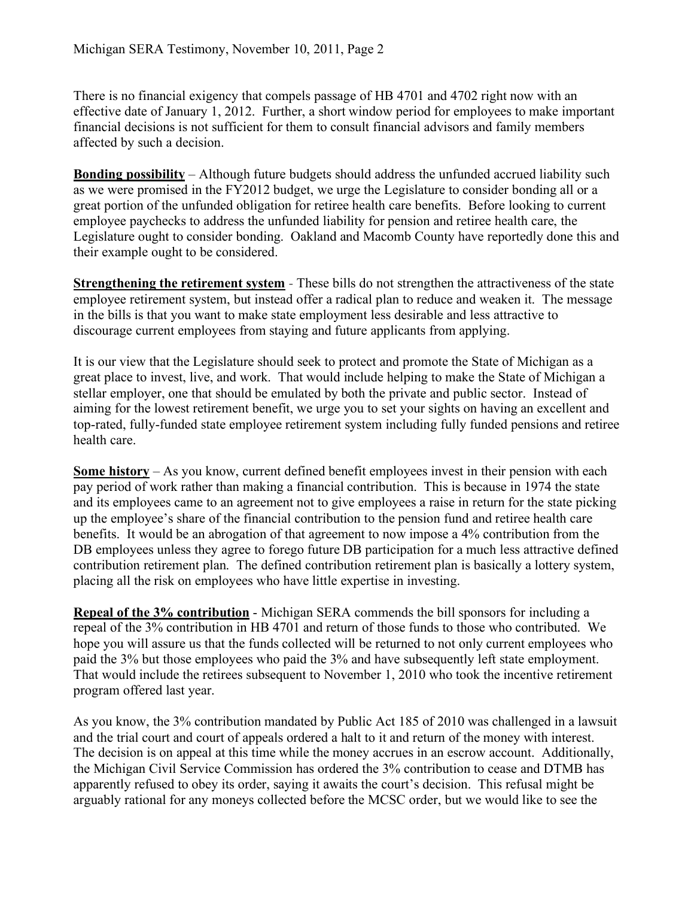There is no financial exigency that compels passage of HB 4701 and 4702 right now with an effective date of January 1, 2012. Further, a short window period for employees to make important financial decisions is not sufficient for them to consult financial advisors and family members affected by such a decision.

**Bonding possibility** – Although future budgets should address the unfunded accrued liability such as we were promised in the FY2012 budget, we urge the Legislature to consider bonding all or a great portion of the unfunded obligation for retiree health care benefits. Before looking to current employee paychecks to address the unfunded liability for pension and retiree health care, the Legislature ought to consider bonding. Oakland and Macomb County have reportedly done this and their example ought to be considered.

**Strengthening the retirement system** - These bills do not strengthen the attractiveness of the state employee retirement system, but instead offer a radical plan to reduce and weaken it. The message in the bills is that you want to make state employment less desirable and less attractive to discourage current employees from staying and future applicants from applying.

It is our view that the Legislature should seek to protect and promote the State of Michigan as a great place to invest, live, and work. That would include helping to make the State of Michigan a stellar employer, one that should be emulated by both the private and public sector. Instead of aiming for the lowest retirement benefit, we urge you to set your sights on having an excellent and top-rated, fully-funded state employee retirement system including fully funded pensions and retiree health care.

**Some history** – As you know, current defined benefit employees invest in their pension with each pay period of work rather than making a financial contribution. This is because in 1974 the state and its employees came to an agreement not to give employees a raise in return for the state picking up the employee's share of the financial contribution to the pension fund and retiree health care benefits. It would be an abrogation of that agreement to now impose a 4% contribution from the DB employees unless they agree to forego future DB participation for a much less attractive defined contribution retirement plan. The defined contribution retirement plan is basically a lottery system, placing all the risk on employees who have little expertise in investing.

**Repeal of the 3% contribution** - Michigan SERA commends the bill sponsors for including a repeal of the 3% contribution in HB 4701 and return of those funds to those who contributed. We hope you will assure us that the funds collected will be returned to not only current employees who paid the 3% but those employees who paid the 3% and have subsequently left state employment. That would include the retirees subsequent to November 1, 2010 who took the incentive retirement program offered last year.

As you know, the 3% contribution mandated by Public Act 185 of 2010 was challenged in a lawsuit and the trial court and court of appeals ordered a halt to it and return of the money with interest. The decision is on appeal at this time while the money accrues in an escrow account. Additionally, the Michigan Civil Service Commission has ordered the 3% contribution to cease and DTMB has apparently refused to obey its order, saying it awaits the court's decision. This refusal might be arguably rational for any moneys collected before the MCSC order, but we would like to see the